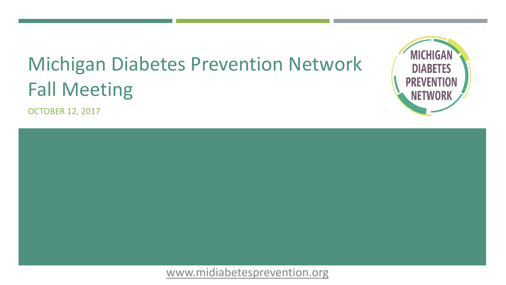# Michigan Diabetes Prevention Network Fall Meeting

OCTOBER 12, 2017



## [www.midiabetesprevention.org](http://www.midiabetesprevention.org/)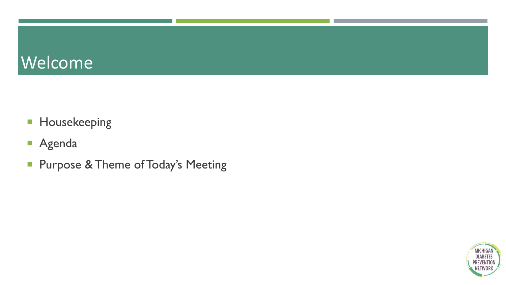# Welcome

- **Housekeeping**
- Agenda
- **Purpose & Theme of Today's Meeting**

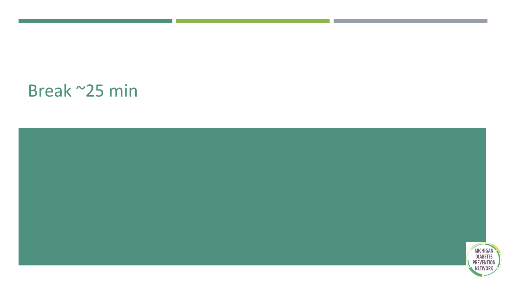# Break ~25 min

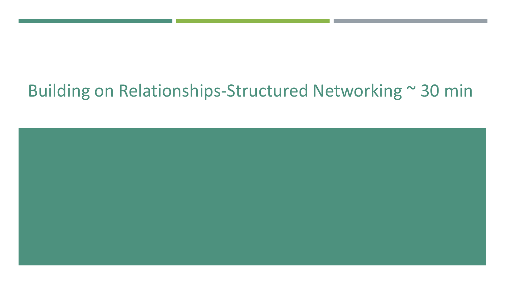# Building on Relationships-Structured Networking ~ 30 min

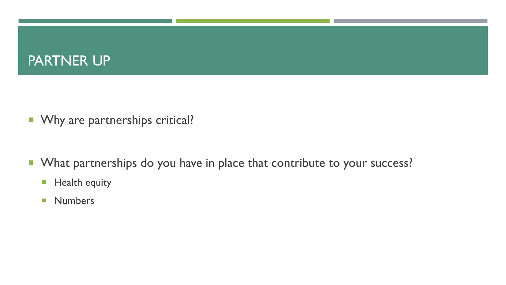## PARTNER UP

- **Now 19 Marked Muller** Why are partnerships critical?
- What partnerships do you have in place that contribute to your success?
	- **Health equity**
	- **Numbers**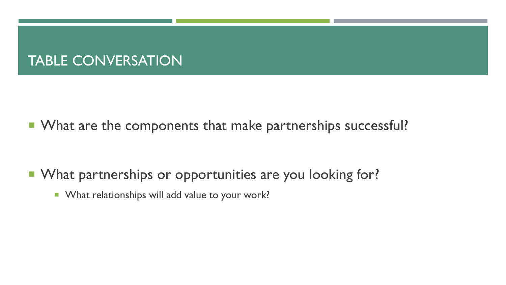### TABLE CONVERSATION

■ What are the components that make partnerships successful?

- What partnerships or opportunities are you looking for?
	- **Notable 1 What relationships will add value to your work?**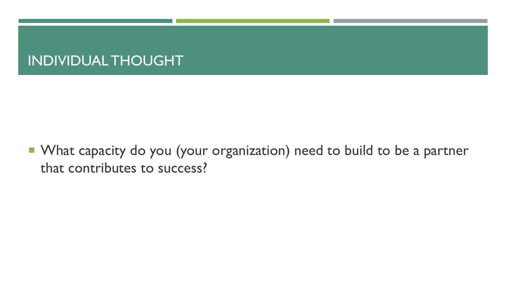## INDIVIDUAL THOUGHT

**• What capacity do you (your organization) need to build to be a partner** that contributes to success?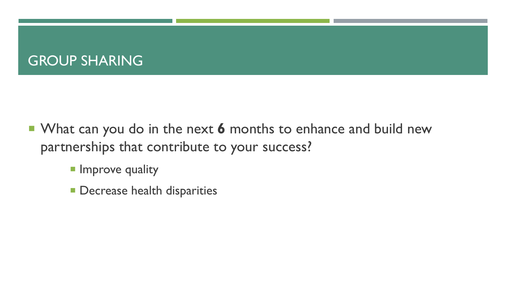## **GROUP SHARING**

- **What can you do in the next 6 months to enhance and build new** partnerships that contribute to your success?
	- **Improve quality**
	- **Decrease health disparities**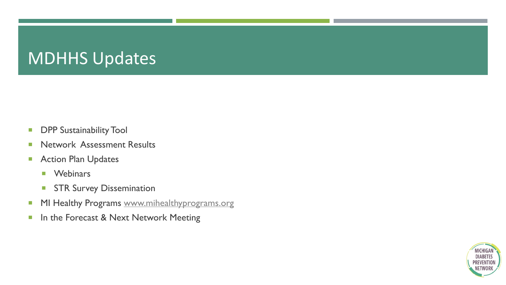# MDHHS Updates

- **DPP Sustainability Tool**
- **Network Assessment Results**
- **Action Plan Updates** 
	- **Nebinars**
	- **STR Survey Dissemination**
- MI Healthy Programs [www.mihealthyprograms.org](http://www.mihealthyprograms.org/)
- **In the Forecast & Next Network Meeting**

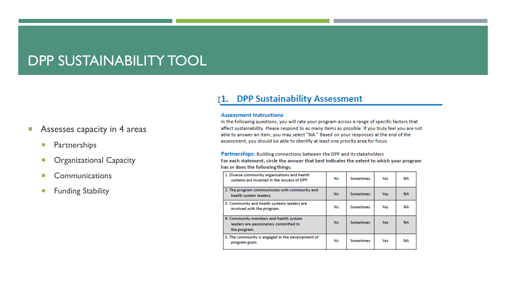### DPP SUSTAINABILITY TOOL

### **Assesses capacity in 4 areas**

- **Partnerships**
- **C** Organizational Capacity
- **E** Communications
- **Funding Stability**

### 11. DPP Sustainability Assessment

#### **Assessment Instructions**

In the following questions, you will rate your program across a range of specific factors that affect sustainability. Please respond to as many items as possible. If you truly feel you are not able to answer an item, you may select "NA." Based on your responses at the end of the assessment, you should be able to identify at least one priority area for focus.

#### Partnerships: Building connections between the DPP and its stakeholders

| has or does the following things.                                                               |           |                  |            |           |
|-------------------------------------------------------------------------------------------------|-----------|------------------|------------|-----------|
| 1. Diverse community organizations and health<br>systems are invested in the success of DPP.    | No        | <b>Sometimes</b> | Yes        | <b>NA</b> |
| 2. The program communicates with community and<br>health system leaders.                        | <b>No</b> | <b>Sometimes</b> | <b>Yes</b> | <b>NA</b> |
| 3. Community and health systems leaders are<br>involved with the program.                       | No        | Sometimes        | Yes        | NA        |
| 4. Community members and health system<br>leaders are passionately committed to<br>the program. | No.       | <b>Sometimes</b> | Yes:       | <b>NA</b> |
| 5. The community is engaged in the development of<br>program goals.                             | No        | <b>Sometimes</b> | Yes        | <b>NA</b> |

For each statement, circle the answer that best indicates the extent to which your program shows a low that the collection of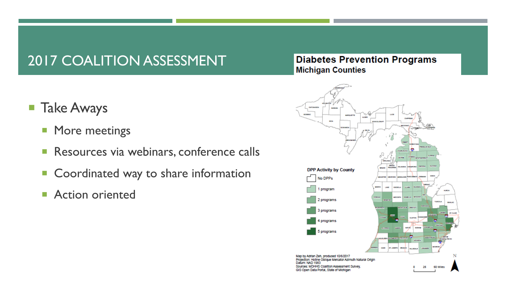## 2017 COALITION ASSESSMENT

### **Diabetes Prevention Programs Michigan Counties**

ORTOWACH **SCORED MARQUETTE ALCOHOL DPP Activity by County** No DPPs 1 program 2 programs 3000 **MNLM** 3 programs n cum programs 5 programs Map by Adrian Zeh, produced 10/6/2017 Projection: Hotine Oblique Mercator Azimuth Natural Origin afum: NAD 1983 Sources: MDHHS Coalition Assessment Survey, 50 Miles 25 GIS Open Data Portal, State of Michigan

- **Take Aways** 
	- **More meetings**
	- **Resources via webinars, conference calls**
	- Coordinated way to share information
	- **Action oriented**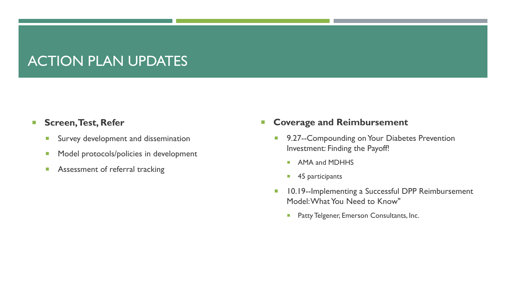## ACTION PLAN UPDATES

### **Screen, Test, Refer**

- **Survey development and dissemination**
- **Model protocols/policies in development**
- **Assessment of referral tracking**

**EX Coverage and Reimbursement** 

- **9.27--Compounding on Your Diabetes Prevention** Investment: Finding the Payoff!
	- **AMA and MDHHS**
	- 45 participants
- **10.19--Implementing a Successful DPP Reimbursement** Model: What You Need to Know"
	- **Patty Telgener, Emerson Consultants, Inc.**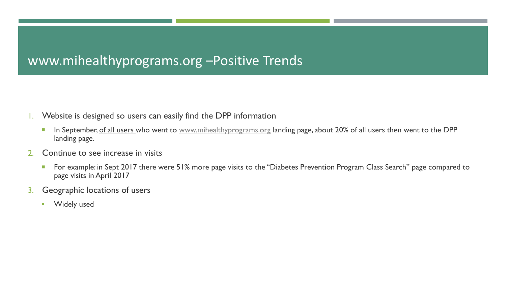### www.mihealthyprograms.org –Positive Trends

- 1. Website is designed so users can easily find the DPP information
	- In September, of all users who went to [www.mihealthyprograms.org](http://www.mihealthyprograms.org/) landing page, about 20% of all users then went to the DPP landing page.
- 2. Continue to see increase in visits
	- For example: in Sept 2017 there were 51% more page visits to the "Diabetes Prevention Program Class Search" page compared to page visits in April 2017
- 3. Geographic locations of users
	- **Widely used**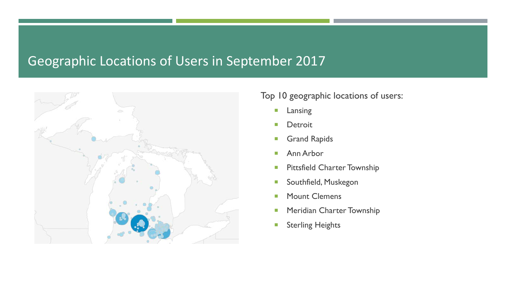### Geographic Locations of Users in September 2017



### Top 10 geographic locations of users:

- **Lansing**
- **Detroit**
- **Grand Rapids**
- **Ann Arbor**
- **Pittsfield Charter Township**
- **Southfield, Muskegon**
- **Mount Clemens**
- **Meridian Charter Township**
- **Sterling Heights**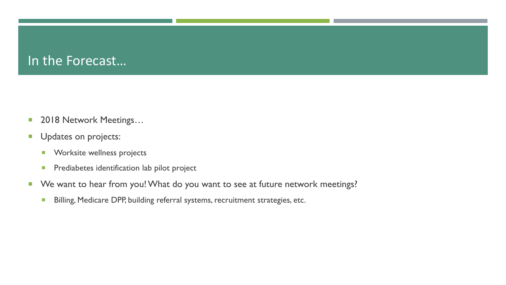### In the Forecast…

- 2018 Network Meetings...
- **U**pdates on projects:
	- **Norksite wellness projects**
	- **Prediabetes identification lab pilot project**
- We want to hear from you! What do you want to see at future network meetings?
	- **Billing, Medicare DPP, building referral systems, recruitment strategies, etc.**